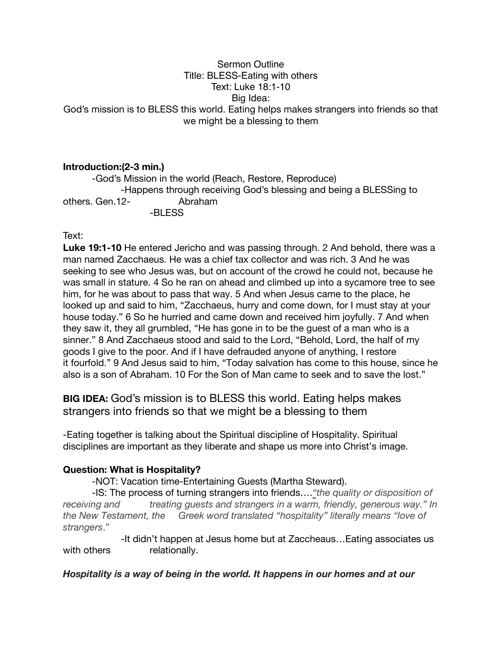### Sermon Outline Title: BLESS-Eating with others Text: Luke 18:1-10 Big Idea: God's mission is to BLESS this world. Eating helps makes strangers into friends so that we might be a blessing to them

# **Introduction:(2-3 min.)**

-God's Mission in the world (Reach, Restore, Reproduce) -Happens through receiving God's blessing and being a BLESSing to others. Gen.12- Abraham -BLESS

#### Text:

**Luke 19:1-10** He entered Jericho and was passing through. 2 And behold, there was a man named Zacchaeus. He was a chief tax collector and was rich. 3 And he was seeking to see who Jesus was, but on account of the crowd he could not, because he was small in stature. 4 So he ran on ahead and climbed up into a sycamore tree to see him, for he was about to pass that way. 5 And when Jesus came to the place, he looked up and said to him, "Zacchaeus, hurry and come down, for I must stay at your house today." 6 So he hurried and came down and received him joyfully. 7 And when they saw it, they all grumbled, "He has gone in to be the guest of a man who is a sinner." 8 And Zacchaeus stood and said to the Lord, "Behold, Lord, the half of my goods I give to the poor. And if I have defrauded anyone of anything, I restore it fourfold." 9 And Jesus said to him, "Today salvation has come to this house, since he also is a son of Abraham. 10 For the Son of Man came to seek and to save the lost."

**BIG IDEA:** God's mission is to BLESS this world. Eating helps makes strangers into friends so that we might be a blessing to them

-Eating together is talking about the Spiritual discipline of Hospitality. Spiritual disciplines are important as they liberate and shape us more into Christ's image.

## **Question: What is Hospitality?**

-NOT: Vacation time-Entertaining Guests (Martha Steward).

-IS: The process of turning strangers into friends….*"the quality or disposition of receiving and treating guests and strangers in a warm, friendly, generous way." In the New Testament, the Greek word translated "hospitality" literally means "love of strangers*."

-It didn't happen at Jesus home but at Zaccheaus…Eating associates us with others relationally.

#### *Hospitality is a way of being in the world. It happens in our homes and at our*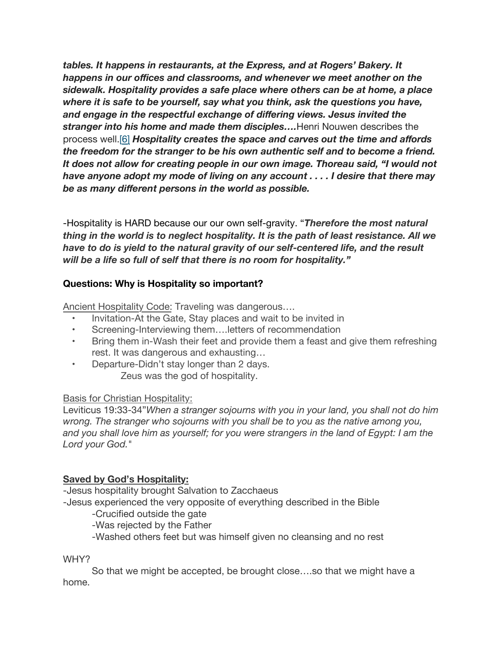*tables. It happens in restaurants, at the Express, and at Rogers' Bakery. It happens in our offices and classrooms, and whenever we meet another on the sidewalk. Hospitality provides a safe place where others can be at home, a place where it is safe to be yourself, say what you think, ask the questions you have, and engage in the respectful exchange of differing views. Jesus invited the stranger into his home and made them disciples….*Henri Nouwen describes the process well.[\[6\]](https://spectrummagazine.org/article/2016/10/16/jesus-host-hospitality-ministry-jesus#_edn6) *Hospitality creates the space and carves out the time and affords the freedom for the stranger to be his own authentic self and to become a friend. It does not allow for creating people in our own image. Thoreau said, "I would not have anyone adopt my mode of living on any account . . . . I desire that there may be as many different persons in the world as possible.*

-Hospitality is HARD because our our own self-gravity. "*Therefore the most natural thing in the world is to neglect hospitality. It is the path of least resistance. All we have to do is yield to the natural gravity of our self-centered life, and the result will be a life so full of self that there is no room for hospitality."*

## **Questions: Why is Hospitality so important?**

Ancient Hospitality Code: Traveling was dangerous….

- Invitation-At the Gate, Stay places and wait to be invited in
- Screening-Interviewing them.... letters of recommendation
- Bring them in-Wash their feet and provide them a feast and give them refreshing rest. It was dangerous and exhausting…
- Departure-Didn't stay longer than 2 days. Zeus was the god of hospitality.

#### Basis for Christian Hospitality:

Leviticus 19:33-34"*When a stranger sojourns with you in your land, you shall not do him wrong. The stranger who sojourns with you shall be to you as the native among you, and you shall love him as yourself; for you were strangers in the land of Egypt: I am the Lord your God.*"

## **Saved by God's Hospitality:**

-Jesus hospitality brought Salvation to Zacchaeus

-Jesus experienced the very opposite of everything described in the Bible

-Crucified outside the gate

-Was rejected by the Father

-Washed others feet but was himself given no cleansing and no rest

WHY?

So that we might be accepted, be brought close….so that we might have a home.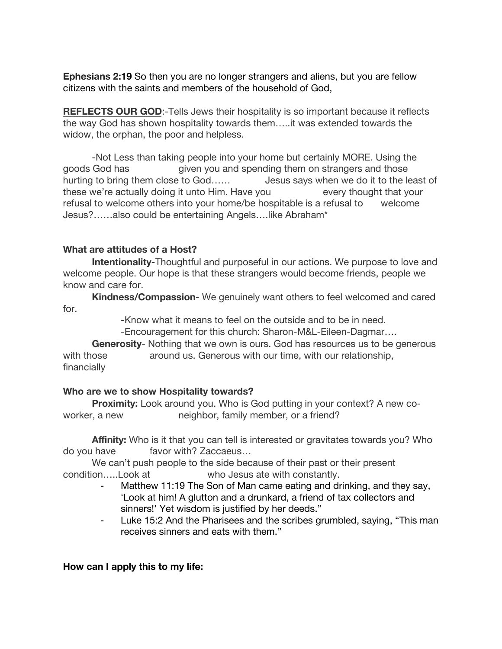**Ephesians 2:19** So then you are no longer strangers and aliens, but you are fellow citizens with the saints and members of the household of God,

**REFLECTS OUR GOD**:-Tells Jews their hospitality is so important because it reflects the way God has shown hospitality towards them…..it was extended towards the widow, the orphan, the poor and helpless.

-Not Less than taking people into your home but certainly MORE. Using the goods God has given you and spending them on strangers and those hurting to bring them close to God...... Jesus says when we do it to the least of these we're actually doing it unto Him. Have you every thought that your refusal to welcome others into your home/be hospitable is a refusal to welcome Jesus?……also could be entertaining Angels….like Abraham\*

## **What are attitudes of a Host?**

**Intentionality**-Thoughtful and purposeful in our actions. We purpose to love and welcome people. Our hope is that these strangers would become friends, people we know and care for.

**Kindness/Compassion**- We genuinely want others to feel welcomed and cared for.

-Know what it means to feel on the outside and to be in need.

-Encouragement for this church: Sharon-M&L-Eileen-Dagmar….

**Generosity**- Nothing that we own is ours. God has resources us to be generous with those around us. Generous with our time, with our relationship, financially

## **Who are we to show Hospitality towards?**

**Proximity:** Look around you. Who is God putting in your context? A new coworker, a new neighbor, family member, or a friend?

**Affinity:** Who is it that you can tell is interested or gravitates towards you? Who do you have favor with? Zaccaeus…

We can't push people to the side because of their past or their present condition…..Look at who Jesus ate with constantly.

- Matthew 11:19 The Son of Man came eating and drinking, and they say, 'Look at him! A glutton and a drunkard, a friend of tax collectors and sinners!' Yet wisdom is justified by her deeds."
- ⁃ Luke 15:2 And the Pharisees and the scribes grumbled, saying, "This man receives sinners and eats with them."

## **How can I apply this to my life:**